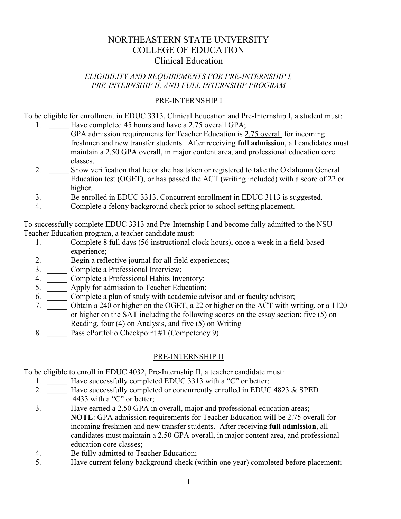# NORTHEASTERN STATE UNIVERSITY COLLEGE OF EDUCATION Clinical Education

#### *ELIGIBILITY AND REQUIREMENTS FOR PRE-INTERNSHIP I, PRE-INTERNSHIP II, AND FULL INTERNSHIP PROGRAM*

#### PRE-INTERNSHIP I

To be eligible for enrollment in EDUC 3313, Clinical Education and Pre-Internship I, a student must:

- 1. Have completed 45 hours and have a 2.75 overall GPA;
	- GPA admission requirements for Teacher Education is 2.75 overall for incoming freshmen and new transfer students. After receiving **full admission**, all candidates must maintain a 2.50 GPA overall, in major content area, and professional education core classes.
	- 2. \_\_\_\_\_ Show verification that he or she has taken or registered to take the Oklahoma General Education test (OGET), or has passed the ACT (writing included) with a score of 22 or higher.
	- 3. Be enrolled in EDUC 3313. Concurrent enrollment in EDUC 3113 is suggested.
	- 4. Complete a felony background check prior to school setting placement.

To successfully complete EDUC 3313 and Pre-Internship I and become fully admitted to the NSU Teacher Education program, a teacher candidate must:

- 1. Complete 8 full days (56 instructional clock hours), once a week in a field-based experience;
- 2. \_\_\_\_\_\_ Begin a reflective journal for all field experiences;
- 3. \_\_\_\_\_ Complete a Professional Interview;
- 4. Complete a Professional Habits Inventory;
- 5. \_\_\_\_\_ Apply for admission to Teacher Education;
- 6. \_\_\_\_\_ Complete a plan of study with academic advisor and or faculty advisor;
- 7. \_\_\_\_\_ Obtain a 240 or higher on the OGET, a 22 or higher on the ACT with writing, or a 1120 or higher on the SAT including the following scores on the essay section: five (5) on Reading, four (4) on Analysis, and five (5) on Writing
- 8. Pass ePortfolio Checkpoint #1 (Competency 9).

## PRE-INTERNSHIP II

To be eligible to enroll in EDUC 4032, Pre-Internship II, a teacher candidate must:

- 1. Have successfully completed EDUC 3313 with a "C" or better;
- 2. \_\_\_\_\_\_\_ Have successfully completed or concurrently enrolled in EDUC 4823 & SPED 4433 with a "C" or better;
- 3. Have earned a 2.50 GPA in overall, major and professional education areas; **NOTE**: GPA admission requirements for Teacher Education will be 2.75 overall for incoming freshmen and new transfer students. After receiving **full admission**, all candidates must maintain a 2.50 GPA overall, in major content area, and professional education core classes;
- 4. Be fully admitted to Teacher Education;
- 5. \_\_\_\_\_ Have current felony background check (within one year) completed before placement;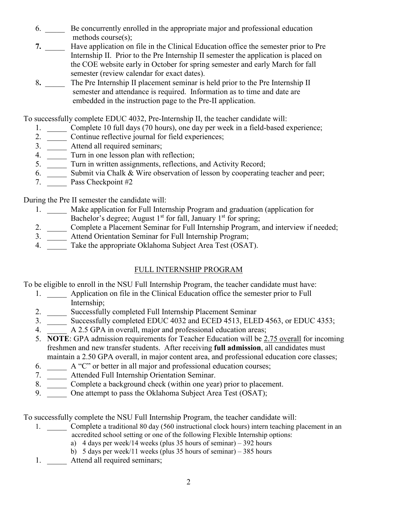- 6. \_\_\_\_\_ Be concurrently enrolled in the appropriate major and professional education methods course(s);
- **7.** \_\_\_\_\_ Have application on file in the Clinical Education office the semester prior to Pre Internship II. Prior to the Pre Internship II semester the application is placed on the COE website early in October for spring semester and early March for fall semester (review calendar for exact dates).
- 8. The Pre Internship II placement seminar is held prior to the Pre Internship II semester and attendance is required. Information as to time and date are embedded in the instruction page to the Pre-II application.

To successfully complete EDUC 4032, Pre-Internship II, the teacher candidate will:

- 1. Complete 10 full days (70 hours), one day per week in a field-based experience;
- 2. \_\_\_\_\_\_\_ Continue reflective journal for field experiences;
- 3. \_\_\_\_\_\_ Attend all required seminars;
- 4. \_\_\_\_\_\_\_ Turn in one lesson plan with reflection;
- 5. Turn in written assignments, reflections, and Activity Record;
- 6.  $\overline{\phantom{0}}$  Submit via Chalk  $\&$  Wire observation of lesson by cooperating teacher and peer;
- 7. Pass Checkpoint #2

During the Pre II semester the candidate will:

- 1. \_\_\_\_\_ Make application for Full Internship Program and graduation (application for Bachelor's degree; August  $1<sup>st</sup>$  for fall, January  $1<sup>st</sup>$  for spring;
- 2. \_\_\_\_\_ Complete a Placement Seminar for Full Internship Program, and interview if needed;
- 3. \_\_\_\_\_\_ Attend Orientation Seminar for Full Internship Program;
- 4. Take the appropriate Oklahoma Subject Area Test (OSAT).

### FULL INTERNSHIP PROGRAM

To be eligible to enroll in the NSU Full Internship Program, the teacher candidate must have:

- 1. \_\_\_\_\_\_\_ Application on file in the Clinical Education office the semester prior to Full Internship;
- 2. \_\_\_\_\_\_ Successfully completed Full Internship Placement Seminar
- 3. Successfully completed EDUC 4032 and ECED 4513, ELED 4563, or EDUC 4353;
- 4. A 2.5 GPA in overall, major and professional education areas;
- 5. **NOTE**: GPA admission requirements for Teacher Education will be 2.75 overall for incoming freshmen and new transfer students. After receiving **full admission**, all candidates must maintain a 2.50 GPA overall, in major content area, and professional education core classes;
- 6. \_\_\_\_\_ A "C" or better in all major and professional education courses;
- 7. \_\_\_\_\_ Attended Full Internship Orientation Seminar.
- 8. \_\_\_\_\_\_ Complete a background check (within one year) prior to placement.
- 9. One attempt to pass the Oklahoma Subject Area Test (OSAT);

To successfully complete the NSU Full Internship Program, the teacher candidate will:

- 1. Complete a traditional 80 day (560 instructional clock hours) intern teaching placement in an accredited school setting or one of the following Flexible Internship options:
	- a) 4 days per week/14 weeks (plus 35 hours of seminar) 392 hours
	- b) 5 days per week/11 weeks (plus 35 hours of seminar) 385 hours
- 1. Attend all required seminars;